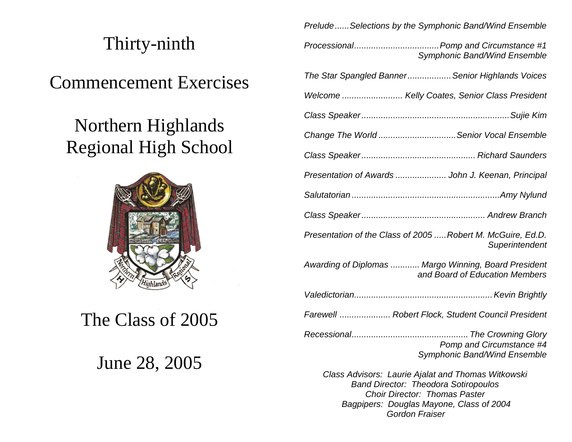## Thirty-ninth

Commencement Exercises

# Northern Highlands Regional High School



## The Class of 2005

### June 28, 2005

*Prelude......Selections by the Symphonic Band/Wind Ensemble*

*Processional...................................Pomp and Circumstance #1* Symphonic Band/Wind Ensemble *The Star Spangled Banner..................Senior Highlands Voices Welcome ......................... Kelly Coates, Senior Class President Class Speaker.............................................................Sujie Kim Change The World ................................Senior Vocal Ensemble Class Speaker............................................... Richard Saunders Presentation of Awards ..................... John J. Keenan, Principal Salutatorian .............................................................Amy Nylund Class Speaker................................................... Andrew Branch Presentation of the Class of 2005 .....Robert M. McGuire, Ed.D. ...........................................................................Superintendent Awarding of Diplomas ............ Margo Winning, Board President ..............................................and Board of Education Members Valedictorian.........................................................Kevin Brightly Farewell ..................... Robert Flock, Student Council President Recessional................................................ The Crowning Glory Pomp and Circumstance #4* Symphonic Band/Wind Ensemble *Class Advisors: Laurie Ajalat and Thomas Witkowski Band Director: Theodora Sotiropoulos Choir Director: Thomas Paster Bagpipers: Douglas Mayone, Class of 2004*

 *Gordon Fraiser*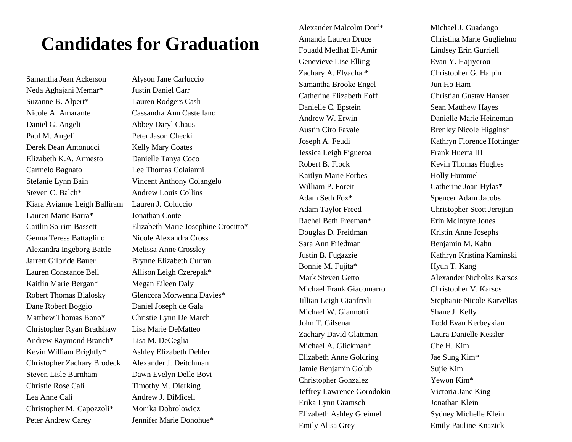### **Candidates for Graduation**

Neda Aghajani Memar\* Justin Daniel Carr Suzanne B. Alpert\* Lauren Rodgers Cash Nicole A. Amarante Cassandra Ann Castellano Daniel G. Angeli Abbey Daryl Chaus Paul M. Angeli Peter Jason Checki Derek Dean Antonucci Kelly Mary Coates Elizabeth K.A. Armesto Danielle Tanya Coco Carmelo Bagnato Lee Thomas Colaianni Stefanie Lynn Bain Vincent Anthony Colangelo Steven C. Balch<sup>\*</sup> Andrew Louis Collins Kiara Avianne Leigh Balliram Lauren J. Coluccio Lauren Marie Barra\* Jonathan Conte Genna Teress Battaglino Nicole Alexandra Cross Alexandra Ingeborg Battle Melissa Anne Crossley Jarrett Gilbride Bauer Brynne Elizabeth Curran Lauren Constance Bell Allison Leigh Czerepak\* Kaitlin Marie Bergan\* Megan Eileen Daly Dane Robert Boggio Daniel Joseph de Gala Matthew Thomas Bono\* Christie Lynn De March Christopher Ryan Bradshaw Lisa Marie DeMatteo Andrew Raymond Branch\* Lisa M. DeCeglia Kevin William Brightly\* Ashley Elizabeth Dehler Christopher Zachary Brodeck Alexander J. Deitchman Steven Lisle Burnham Dawn Evelyn Delle Bovi Christie Rose Cali Timothy M. Dierking Lea Anne Cali Andrew J. DiMiceli Christopher M. Capozzoli\* Monika Dobrolowicz Peter Andrew Carey Jennifer Marie Donohue\*

Samantha Jean Ackerson Alyson Jane Carluccio Caitlin So-rim Bassett Elizabeth Marie Josephine Crocitto\* Robert Thomas Bialosky Glencora Morwenna Davies\*

Alexander Malcolm Dorf\* Michael J. Guadango Amanda Lauren Druce Christina Marie Guglielmo Fouadd Medhat El-Amir Lindsey Erin Gurriell Genevieve Lise Elling Evan Y. Hajiyerou Zachary A. Elyachar\* Christopher G. Halpin Samantha Brooke Engel Jun Ho Ham Catherine Elizabeth Eoff Christian Gustav Hansen Danielle C. Epstein Sean Matthew Hayes Andrew W. Erwin Danielle Marie Heineman Austin Ciro Favale Brenley Nicole Higgins\* Joseph A. Feudi Kathryn Florence Hottinger Jessica Leigh Figueroa Frank Huerta III Robert B. Flock Kevin Thomas Hughes Kaitlyn Marie Forbes Holly Hummel William P. Foreit Catherine Joan Hylas\* Adam Seth Fox<sup>\*</sup> Spencer Adam Jacobs Adam Taylor Freed Christopher Scott Jerejian Rachel Beth Freeman\* Erin McIntyre Jones Douglas D. Freidman Kristin Anne Josephs Sara Ann Friedman Benjamin M. Kahn Justin B. Fugazzie Kathryn Kristina Kaminski Bonnie M. Fujita\* Hyun T. Kang Mark Steven Getto Alexander Nicholas Karsos Michael Frank Giacomarro Christopher V. Karsos Jillian Leigh Gianfredi Stephanie Nicole Karvellas Michael W. Giannotti Shane J. Kelly John T. Gilsenan Todd Evan Kerbeykian Zachary David Glattman Laura Danielle Kessler Michael A. Glickman\* Che H. Kim Elizabeth Anne Goldring Jae Sung Kim\* Jamie Benjamin Golub Sujie Kim Christopher Gonzalez Yewon Kim\* Jeffrey Lawrence Gorodokin Victoria Jane King Erika Lynn Gramsch Jonathan Klein Elizabeth Ashley Greimel Sydney Michelle Klein Emily Alisa Grey Emily Pauline Knazick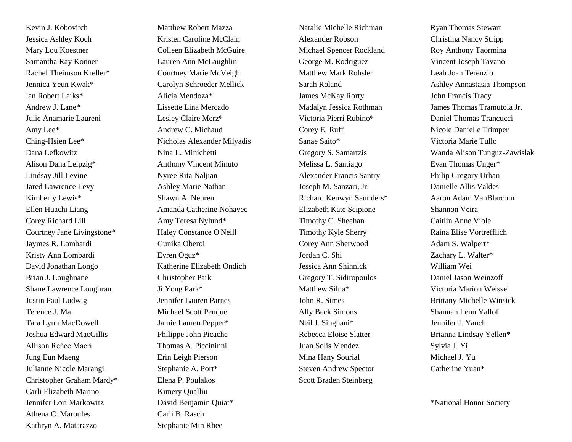Kevin J. Kobovitch Matthew Robert Mazza Jessica Ashley Koch Kristen Caroline McClain Mary Lou Koestner Colleen Elizabeth McGuire Samantha Ray Konner Lauren Ann McLaughlin Rachel Theimson Kreller\* Courtney Marie McVeigh Jennica Yeun Kwak\* Carolyn Schroeder Mellick Ian Robert Laiks\* Alicia Mendoza\* Andrew J. Lane\* Lissette Lina Mercado Julie Anamarie Laureni Lesley Claire Merz\* Amy Lee\* Andrew C. Michaud Ching-Hsien Lee\* Nicholas Alexander Milyadis Dana Lefkowitz Nina L. Minichetti Alison Dana Leipzig\* Anthony Vincent Minuto Lindsay Jill Levine Nyree Rita Naljian Jared Lawrence Levy Ashley Marie Nathan Kimberly Lewis<sup>\*</sup> Shawn A. Neuren Ellen Huachi Liang Amanda Catherine Nohavec Corey Richard Lill Amy Teresa Nylund\* Courtney Jane Livingstone\* Haley Constance O'Neill Jaymes R. Lombardi Gunika Oberoi Kristy Ann Lombardi Evren Oguz\* David Jonathan Longo Katherine Elizabeth Ondich Brian J. Loughnane Christopher Park Shane Lawrence Loughran Ji Yong Park\* Justin Paul Ludwig Jennifer Lauren Parnes Terence J. Ma Michael Scott Penque Tara Lynn MacDowell Jamie Lauren Pepper\* Joshua Edward MacGillis Philippe John Picache Allison Reńee Macri Thomas A. Piccininni Jung Eun Maeng Erin Leigh Pierson Julianne Nicole Marangi Stephanie A. Port\* Christopher Graham Mardy\* Elena P. Poulakos Carli Elizabeth Marino Kimery Qualliu Jennifer Lori Markowitz David Benjamin Quiat\* Athena C. Maroules Carli B. Rasch Kathryn A. Matarazzo Stephanie Min Rhee

Natalie Michelle Richman Ryan Thomas Stewart Alexander Robson Christina Nancy Stripp Michael Spencer Rockland Roy Anthony Taormina George M. Rodriguez Vincent Joseph Tavano Matthew Mark Rohsler Leah Joan Terenzio James McKay Rorty John Francis Tracy Victoria Pierri Rubino\* Daniel Thomas Trancucci Corey E. Ruff Nicole Danielle Trimper Sanae Saito\* Victoria Marie Tullo Melissa L. Santiago Evan Thomas Unger\* Alexander Francis Santry Philip Gregory Urban Joseph M. Sanzari, Jr. Danielle Allis Valdes Richard Kenwyn Saunders\* Aaron Adam VanBlarcom Elizabeth Kate Scipione Shannon Veira Timothy C. Sheehan Caitlin Anne Viole Timothy Kyle Sherry Raina Elise Vortrefflich Corey Ann Sherwood Adam S. Walpert\* Jordan C. Shi Zachary L. Walter\* Jessica Ann Shinnick William Wei Gregory T. Sidiropoulos Daniel Jason Weinzoff Matthew Silna\* Victoria Marion Weissel John R. Simes Brittany Michelle Winsick Ally Beck Simons Shannan Lenn Yallof Neil J. Singhani\* Jennifer J. Yauch Rebecca Eloise Slatter Brianna Lindsay Yellen\* Juan Solis Mendez Sylvia J. Yi Mina Hany Sourial Michael J. Yu Steven Andrew Spector Catherine Yuan\* Scott Braden Steinberg

Sarah Roland **Ashley Annastasia Thompson** Madalyn Jessica Rothman James Thomas Tramutola Jr. Gregory S. Samartzis Wanda Alison Tunguz-Zawislak

\*National Honor Society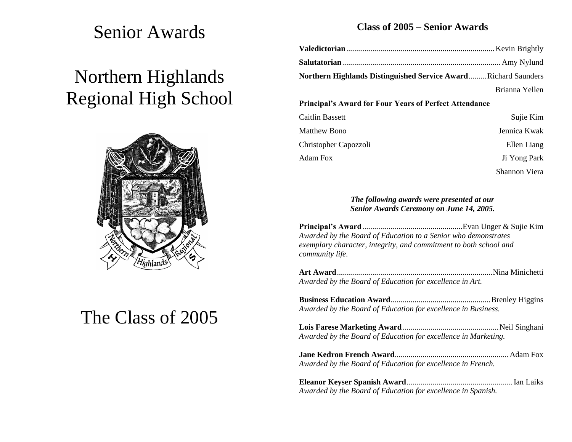### Senior Awards

# Northern Highlands Regional High School



# The Class of 2005

### **Class of 2005 – Senior Awards**

| Northern Highlands Distinguished Service AwardRichard Saunders |                |
|----------------------------------------------------------------|----------------|
|                                                                | Brianna Yellen |
| <b>Principal's Award for Four Years of Perfect Attendance</b>  |                |

| Caitlin Bassett       | Sujie Kim     |
|-----------------------|---------------|
| <b>Matthew Bono</b>   | Jennica Kwak  |
| Christopher Capozzoli | Ellen Liang   |
| Adam Fox              | Ji Yong Park  |
|                       | Shannon Viera |

#### *The following awards were presented at our Senior Awards Ceremony on June 14, 2005.*

**Principal's Award** ..................................................Evan Unger & Sujie Kim *Awarded by the Board of Education to a Senior who demonstrates exemplary character, integrity, and commitment to both school and community life.*

**Art Award**..............................................................................Nina Minichetti *Awarded by the Board of Education for excellence in Art.*

**Business Education Award**..................................................Brenley Higgins *Awarded by the Board of Education for excellence in Business.*

**Lois Farese Marketing Award**................................................Neil Singhani *Awarded by the Board of Education for excellence in Marketing.*

**Jane Kedron French Award**......................................................... Adam Fox *Awarded by the Board of Education for excellence in French.*

**Eleanor Keyser Spanish Award**.....................................................Ian Laiks *Awarded by the Board of Education for excellence in Spanish.*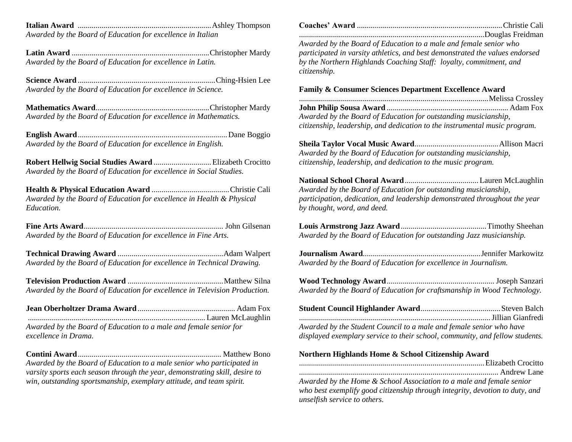**Italian Award** ...................................................................Ashley Thompson *Awarded by the Board of Education for excellence in Italian*

**Latin Award** .....................................................................Christopher Mardy *Awarded by the Board of Education for excellence in Latin.*

**Science Award** .....................................................................Ching-Hsien Lee *Awarded by the Board of Education for excellence in Science.*

**Mathematics Award**.........................................................Christopher Mardy *Awarded by the Board of Education for excellence in Mathematics.*

**English Award**...........................................................................Dane Boggio *Awarded by the Board of Education for excellence in English.*

**Robert Hellwig Social Studies Award** .............................Elizabeth Crocitto *Awarded by the Board of Education for excellence in Social Studies.*

**Health & Physical Education Award** .......................................Christie Cali *Awarded by the Board of Education for excellence in Health & Physical Education.*

**Fine Arts Award**...................................................................... John Gilsenan *Awarded by the Board of Education for excellence in Fine Arts.*

**Technical Drawing Award** .....................................................Adam Walpert *Awarded by the Board of Education for excellence in Technical Drawing.*

**Television Production Award** ................................................Matthew Silna *Awarded by the Board of Education for excellence in Television Production.*

**Jean Oberholtzer Drama Award**................................................. Adam Fox ......................................................................................... Lauren McLaughlin *Awarded by the Board of Education to a male and female senior for excellence in Drama.*

**Contini Award**........................................................................ Matthew Bono *Awarded by the Board of Education to a male senior who participated in varsity sports each season through the year, demonstrating skill, desire to win, outstanding sportsmanship, exemplary attitude, and team spirit.*

**Coaches' Award** .........................................................................Christie Cali .............................................................................................Douglas Freidman

*Awarded by the Board of Education to a male and female senior who participated in varsity athletics, and best demonstrated the values endorsed by the Northern Highlands Coaching Staff: loyalty, commitment, and citizenship.*

#### **Family & Consumer Sciences Department Excellence Award**

...............................................................................................Melissa Crossley **John Philip Sousa Award** ............................................................. Adam Fox *Awarded by the Board of Education for outstanding musicianship, citizenship, leadership, and dedication to the instrumental music program.* 

**Sheila Taylor Vocal Music Award**..........................................Allison Macri *Awarded by the Board of Education for outstanding musicianship, citizenship, leadership, and dedication to the music program.*

**National School Choral Award**.....................................Lauren McLaughlin *Awarded by the Board of Education for outstanding musicianship, participation, dedication, and leadership demonstrated throughout the year by thought, word, and deed.*

**Louis Armstrong Jazz Award**...........................................Timothy Sheehan *Awarded by the Board of Education for outstanding Jazz musicianship.*

**Journalism Award**...........................................................Jennifer Markowitz *Awarded by the Board of Education for excellence in Journalism.*

**Wood Technology Award**...................................................... Joseph Sanzari *Awarded by the Board of Education for craftsmanship in Wood Technology.*

| Awarded by the Student Council to a male and female senior who have          |  |
|------------------------------------------------------------------------------|--|
| displayed exemplary service to their school, community, and fellow students. |  |

#### **Northern Highlands Home & School Citizenship Award**

.............................................................................................Elizabeth Crocitto .................................................................................................... Andrew Lane

*Awarded by the Home & School Association to a male and female senior who best exemplify good citizenship through integrity, devotion to duty, and unselfish service to others.*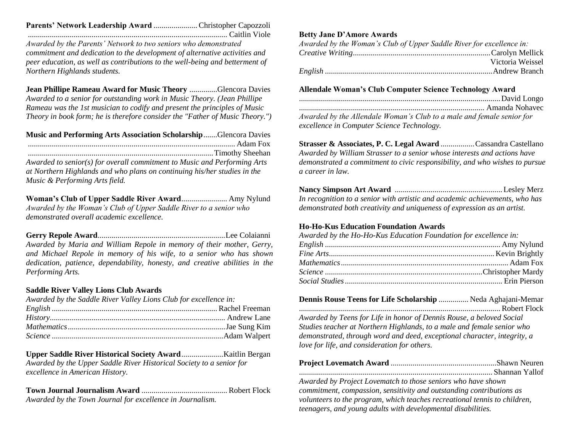#### **Parents' Network Leadership Award** ...................... Christopher Capozzoli .................................................................................................... Caitlin Viole

*Awarded by the Parents' Network to two seniors who demonstrated commitment and dedication to the development of alternative activities and peer education, as well as contributions to the well-being and betterment of Northern Highlands students.*

**Jean Phillipe Rameau Award for Music Theory** ..............Glencora Davies *Awarded to a senior for outstanding work in Music Theory. (Jean Phillipe Rameau was the 1st musician to codify and present the principles of Music Theory in book form; he is therefore consider the "Father of Music Theory.")*

**Music and Performing Arts Association Scholarship**.......Glencora Davies ........................................................................................................ Adam Fox .............................................................................................Timothy Sheehan

*Awarded to senior(s) for overall commitment to Music and Performing Arts at Northern Highlands and who plans on continuing his/her studies in the Music & Performing Arts field.*

**Woman's Club of Upper Saddle River Award**....................... Amy Nylund *Awarded by the Woman's Club of Upper Saddle River to a senior who demonstrated overall academic excellence.*

**Gerry Repole Award**................................................................Lee Colaianni *Awarded by Maria and William Repole in memory of their mother, Gerry, and Michael Repole in memory of his wife, to a senior who has shown dedication, patience, dependability, honesty, and creative abilities in the Performing Arts.*

#### **Saddle River Valley Lions Club Awards**

| Awarded by the Saddle River Valley Lions Club for excellence in: |  |
|------------------------------------------------------------------|--|
|                                                                  |  |
|                                                                  |  |
|                                                                  |  |
|                                                                  |  |

**Upper Saddle River Historical Society Award**.....................Kaitlin Bergan *Awarded by the Upper Saddle River Historical Society to a senior for excellence in American History.*

#### **Town Journal Journalism Award** ........................................... Robert Flock *Awarded by the Town Journal for excellence in Journalism.*

#### **Betty Jane D'Amore Awards**

| Awarded by the Woman's Club of Upper Saddle River for excellence in: |                  |
|----------------------------------------------------------------------|------------------|
|                                                                      |                  |
|                                                                      | Victoria Weissel |
|                                                                      |                  |

#### **Allendale Woman's Club Computer Science Technology Award**

| Awarded by the Allendale Woman's Club to a male and female senior for |
|-----------------------------------------------------------------------|
| excellence in Computer Science Technology.                            |

**Strasser & Associates, P. C. Legal Award** .................Cassandra Castellano *Awarded by William Strasser to a senior whose interests and actions have demonstrated a commitment to civic responsibility, and who wishes to pursue a career in law.*

**Nancy Simpson Art Award** ......................................................Lesley Merz *In recognition to a senior with artistic and academic achievements, who has demonstrated both creativity and uniqueness of expression as an artist.*

#### **Ho-Ho-Kus Education Foundation Awards**

*Awarded by the Ho-Ho-Kus Education Foundation for excellence in: English* ........................................................................................ Amy Nylund *Fine Arts*...................................................................................Kevin Brightly *Mathematics*.................................................................................... Adam Fox *Science* ...............................................................................Christopher Mardy *Social Studies*............................................................................... Erin Pierson

| Dennis Rouse Teens for Life Scholarship  Neda Aghajani-Memar |  |
|--------------------------------------------------------------|--|
|                                                              |  |

*Awarded by Teens for Life in honor of Dennis Rouse, a beloved Social Studies teacher at Northern Highlands, to a male and female senior who demonstrated, through word and deed, exceptional character, integrity, a love for life, and consideration for others.*

*Awarded by Project Lovematch to those seniors who have shown commitment, compassion, sensitivity and outstanding contributions as volunteers to the program, which teaches recreational tennis to children, teenagers, and young adults with developmental disabilities.*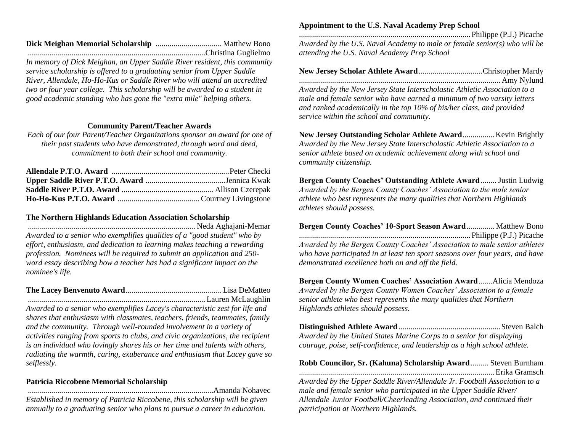*In memory of Dick Meighan, an Upper Saddle River resident, this community service scholarship is offered to a graduating senior from Upper Saddle River, Allendale, Ho-Ho-Kus or Saddle River who will attend an accredited two or four year college. This scholarship will be awarded to a student in good academic standing who has gone the "extra mile" helping others.*

#### **Community Parent/Teacher Awards**

*Each of our four Parent/Teacher Organizations sponsor an award for one of their past students who have demonstrated, through word and deed, commitment to both their school and community.*

#### **The Northern Highlands Education Association Scholarship**

.................................................................................... Neda Aghajani-Memar *Awarded to a senior who exemplifies qualities of a "good student" who by effort, enthusiasm, and dedication to learning makes teaching a rewarding profession. Nominees will be required to submit an application and 250 word essay describing how a teacher has had a significant impact on the nominee's life.*

**The Lacey Benvenuto Award**................................................ Lisa DeMatteo ......................................................................................... Lauren McLaughlin

*Awarded to a senior who exemplifies Lacey's characteristic zest for life and shares that enthusiasm with classmates, teachers, friends, teammates, family and the community. Through well-rounded involvement in a variety of activities ranging from sports to clubs, and civic organizations, the recipient is an individual who lovingly shares his or her time and talents with others, radiating the warmth, caring, exuberance and enthusiasm that Lacey gave so selflessly.*

#### **Patricia Riccobene Memorial Scholarship**

.............................................................................................Amanda Nohavec *Established in memory of Patricia Riccobene, this scholarship will be given annually to a graduating senior who plans to pursue a career in education.*

#### **Appointment to the U.S. Naval Academy Prep School**

......................................................................................Philippe (P.J.) Picache *Awarded by the U.S. Naval Academy to male or female senior(s) who will be attending the U.S. Naval Academy Prep School*

**New Jersey Scholar Athlete Award**................................Christopher Mardy ..................................................................................................... Amy Nylund

*Awarded by the New Jersey State Interscholastic Athletic Association to a male and female senior who have earned a minimum of two varsity letters and ranked academically in the top 10% of his/her class, and provided service within the school and community.*

**New Jersey Outstanding Scholar Athlete Award**................Kevin Brightly *Awarded by the New Jersey State Interscholastic Athletic Association to a senior athlete based on academic achievement along with school and community citizenship.*

**Bergen County Coaches' Outstanding Athlete Award**........ Justin Ludwig *Awarded by the Bergen County Coaches' Association to the male senior athlete who best represents the many qualities that Northern Highlands athletes should possess.*

**Bergen County Coaches' 10-Sport Season Award**.............. Matthew Bono ......................................................................................Philippe (P.J.) Picache

*Awarded by the Bergen County Coaches' Association to male senior athletes who have participated in at least ten sport seasons over four years, and have demonstrated excellence both on and off the field.*

**Bergen County Women Coaches' Association Award**.......Alicia Mendoza *Awarded by the Bergen County Women Coaches' Association to a female senior athlete who best represents the many qualities that Northern Highlands athletes should possess.*

**Distinguished Athlete Award** ...................................................Steven Balch *Awarded by the United States Marine Corps to a senior for displaying courage, poise, self-confidence, and leadership as a high school athlete.*

#### **Robb Councilor, Sr. (Kahuna) Scholarship Award**......... Steven Burnham ..................................................................................................Erika Gramsch

*Awarded by the Upper Saddle River/Allendale Jr. Football Association to a male and female senior who participated in the Upper Saddle River/ Allendale Junior Football/Cheerleading Association, and continued their participation at Northern Highlands.*